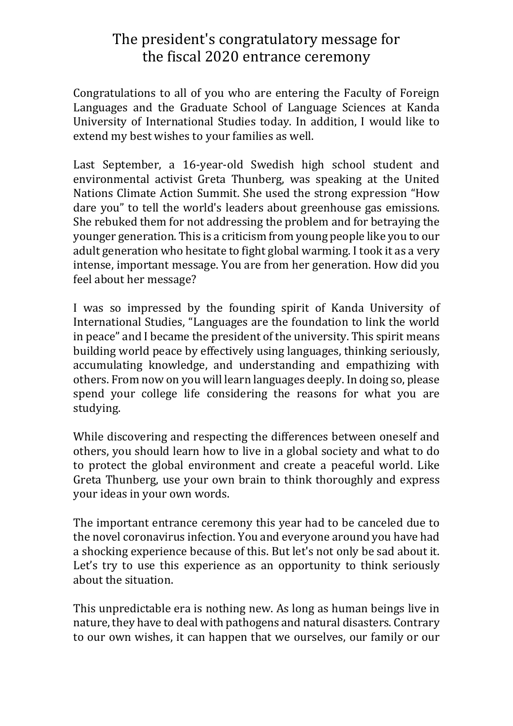## The president's congratulatory message for the fiscal 2020 entrance ceremony

Congratulations to all of you who are entering the Faculty of Foreign Languages and the Graduate School of Language Sciences at Kanda University of International Studies today. In addition, I would like to extend my best wishes to your families as well.

Last September, a 16-year-old Swedish high school student and environmental activist Greta Thunberg, was speaking at the United Nations Climate Action Summit. She used the strong expression "How dare you" to tell the world's leaders about greenhouse gas emissions. She rebuked them for not addressing the problem and for betraying the younger generation. This is a criticism from young people like you to our adult generation who hesitate to fight global warming. I took it as a very intense, important message. You are from her generation. How did you feel about her message?

I was so impressed by the founding spirit of Kanda University of International Studies, "Languages are the foundation to link the world in peace" and I became the president of the university. This spirit means building world peace by effectively using languages, thinking seriously, accumulating knowledge, and understanding and empathizing with others. From now on you will learn languages deeply. In doing so, please spend your college life considering the reasons for what you are studying.

While discovering and respecting the differences between oneself and others, you should learn how to live in a global society and what to do to protect the global environment and create a peaceful world. Like Greta Thunberg, use your own brain to think thoroughly and express your ideas in your own words.

The important entrance ceremony this year had to be canceled due to the novel coronavirus infection. You and everyone around you have had a shocking experience because of this. But let's not only be sad about it. Let's try to use this experience as an opportunity to think seriously about the situation.

This unpredictable era is nothing new. As long as human beings live in nature, they have to deal with pathogens and natural disasters. Contrary to our own wishes, it can happen that we ourselves, our family or our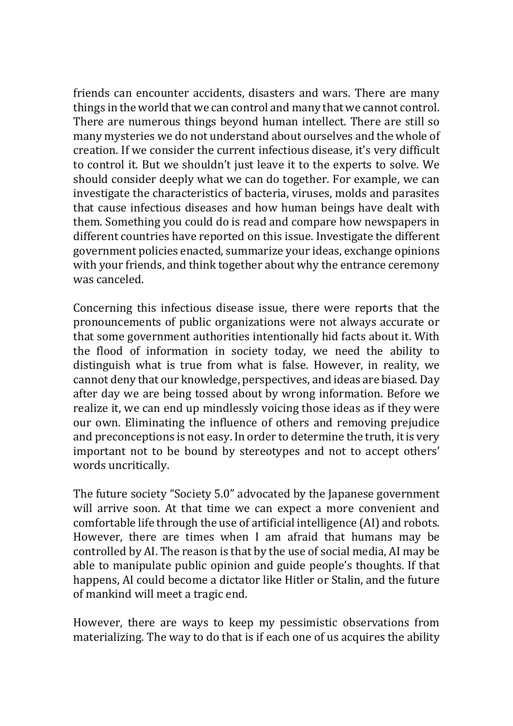friends can encounter accidents, disasters and wars. There are many things in the world that we can control and many that we cannot control. There are numerous things beyond human intellect. There are still so many mysteries we do not understand about ourselves and the whole of creation. If we consider the current infectious disease, it's very difficult to control it. But we shouldn't just leave it to the experts to solve. We should consider deeply what we can do together. For example, we can investigate the characteristics of bacteria, viruses, molds and parasites that cause infectious diseases and how human beings have dealt with them. Something you could do is read and compare how newspapers in different countries have reported on this issue. Investigate the different government policies enacted, summarize your ideas, exchange opinions with your friends, and think together about why the entrance ceremony was canceled.

Concerning this infectious disease issue, there were reports that the pronouncements of public organizations were not always accurate or that some government authorities intentionally hid facts about it. With the flood of information in society today, we need the ability to distinguish what is true from what is false. However, in reality, we cannot deny that our knowledge, perspectives, and ideas are biased. Day after day we are being tossed about by wrong information. Before we realize it, we can end up mindlessly voicing those ideas as if they were our own. Eliminating the influence of others and removing prejudice and preconceptions is not easy. In order to determine the truth, it is very important not to be bound by stereotypes and not to accept others' words uncritically.

The future society "Society 5.0" advocated by the Japanese government will arrive soon. At that time we can expect a more convenient and comfortable life through the use of artificial intelligence (AI) and robots. However, there are times when I am afraid that humans may be controlled by AI. The reason is that by the use of social media, AI may be able to manipulate public opinion and guide people's thoughts. If that happens, AI could become a dictator like Hitler or Stalin, and the future of mankind will meet a tragic end.

However, there are ways to keep my pessimistic observations from materializing. The way to do that is if each one of us acquires the ability